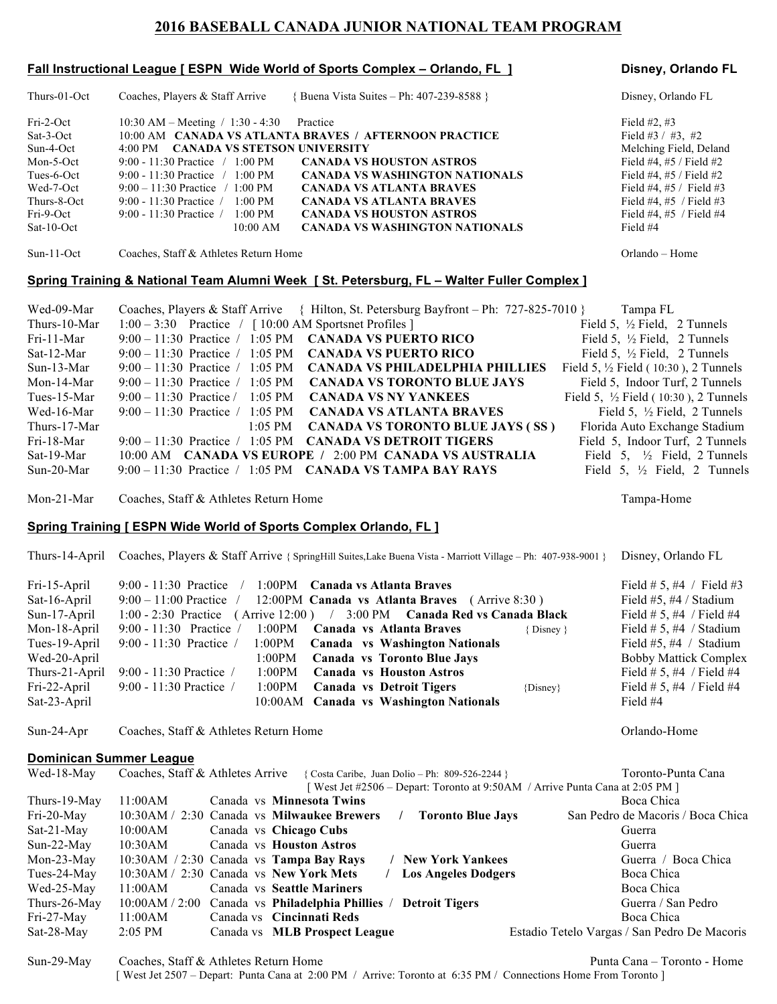# **2016 BASEBALL CANADA JUNIOR NATIONAL TEAM PROGRAM**

### **Fall Instructional League [ ESPN Wide World of Sports Complex – Orlando, FL ] Disney, Orlando FL**

Thurs-01-Oct Coaches, Players & Staff Arrive { Buena Vista Suites – Ph: 407-239-8588 } Disney, Orlando FL Fri-2-Oct 10:30 AM – Meeting / 1:30 - 4:30 Practice Field #2, #3 Sat-3-Oct 10:00 AM **CANADA VS ATLANTA BRAVES / AFTERNOON PRACTICE** Field #3 / #3, #2 Sun-4-Oct 4:00 PM **CANADA VS STETSON UNIVERSITY** Melching Field, Deland Mon-5-Oct 9:00 - 11:30 Practice / 1:00 PM **CANADA VS HOUSTON ASTROS** Field #4, #5 / Field #2 Tues-6-Oct 9:00 - 11:30 Practice / 1:00 PM **CANADA VS WASHINGTON NATIONALS** Field #4, #5 / Field #2 Wed-7-Oct 9:00 – 11:30 Practice / 1:00 PM **CANADA VS ATLANTA BRAVES** Field #4, #5 / Field #3 Thurs-8-Oct 9:00 - 11:30 Practice / 1:00 PM **CANADA VS ATLANTA BRAVES** Field #4, #5 / Field #3 Fri-9-Oct 9:00 - 11:30 Practice / 1:00 PM **CANADA VS HOUSTON ASTROS** Field #4, #5 / Field #4 Sat-10-Oct 10:00 AM **CANADA VS WASHINGTON NATIONALS** Field #4 Sun-11-Oct Coaches, Staff & Athletes Return Home Orlando – Home **Spring Training & National Team Alumni Week [ St. Petersburg, FL – Walter Fuller Complex ]** Wed-09-Mar Coaches, Players & Staff Arrive { Hilton, St. Petersburg Bayfront – Ph: 727-825-7010 } Tampa FL Thurs-10-Mar 1:00 – 3:30 Practice / [ 10:00 AM Sportsnet Profiles ] Field 5, ½ Field 5, ½ Field, 2 Tunnels Fri-11-Mar 9:00 – 11:30 Practice / 1:05 PM **CANADA VS PUERTO RICO** Field 5, ½ Field, 2 Tunnels Sat-12-Mar 9:00 – 11:30 Practice / 1:05 PM **CANADA VS PUERTO RICO** Field 5, 1/2 Field, 2 Tunnels Sun-13-Mar 9:00 – 11:30 Practice / 1:05 PM **CANADA VS PHILADELPHIA PHILLIES** Field 5, ½ Field ( 10:30 ), 2 Tunnels Mon-14-Mar 9:00 – 11:30 Practice / 1:05 PM **CANADA VS TORONTO BLUE JAYS** Field 5, Indoor Turf, 2 Tunnels Tues-15-Mar 9:00 – 11:30 Practice / 1:05 PM **CANADA VS NY YANKEES** Field 5, ½ Field ( 10:30 ), 2 Tunnels Wed-16-Mar 9:00 – 11:30 Practice / 1:05 PM **CANADA VS ATLANTA BRAVES** Field 5, <sup>1</sup>/<sub>2</sub> Field, 2 Tunnels Thurs-17-Mar 1:05 PM **CANADA VS TORONTO BLUE JAYS (SS)** Florida Auto Exchange Stadium Fri-18-Mar 9:00 – 11:30 Practice / 1:05 PM **CANADA VS DETROIT TIGERS** Field 5, Indoor Turf, 2 Tunnels Sat-19-Mar 10:00 AM **CANADA VS EUROPE /** 2:00 PM **CANADA VS AUSTRALIA** Field 5, ½ Field, 2 Tunnels Sun-20-Mar 9:00 – 11:30 Practice / 1:05 PM **CANADA VS TAMPA BAY RAYS** Field 5, ½ Field, 2 Tunnels

Mon-21-Mar Coaches, Staff & Athletes Return Home Tampa-Home Tampa-Home

#### **Spring Training [ ESPN Wide World of Sports Complex Orlando, FL ]**

Thurs-14-April Coaches, Players & Staff Arrive { SpringHill Suites,Lake Buena Vista - Marriott Village – Ph: 407-938-9001 } Disney, Orlando FL

| Fri-15-April<br>Sat-16-April |                                        | 9:00 - 11:30 Practice / 1:00PM Canada vs Atlanta Braves<br>$9:00-11:00$ Practice / 12:00PM Canada vs Atlanta Braves (Arrive 8:30) |              | Field # 5, #4 / Field #3<br>Field $#5, #4 /$ Stadium |
|------------------------------|----------------------------------------|-----------------------------------------------------------------------------------------------------------------------------------|--------------|------------------------------------------------------|
| Sun-17-April                 |                                        | 1:00 - 2:30 Practice (Arrive 12:00) / 3:00 PM Canada Red vs Canada Black                                                          |              | Field # 5, #4 / Field #4                             |
| Mon-18-April                 |                                        | $9:00 - 11:30$ Practice / 1:00PM Canada vs Atlanta Braves                                                                         | {Disney}     | Field # 5, #4 / Stadium                              |
| Tues-19-April                |                                        | $9:00 - 11:30$ Practice / 1:00PM <b>Canada vs Washington Nationals</b>                                                            |              | Field #5, #4 / Stadium                               |
| Wed-20-April                 |                                        | 1:00PM Canada vs Toronto Blue Jays                                                                                                |              | <b>Bobby Mattick Complex</b>                         |
|                              |                                        | Thurs-21-April 9:00 - 11:30 Practice / 1:00PM Canada vs Houston Astros                                                            |              | Field # 5, #4 / Field #4                             |
|                              | Fri-22-April $9:00 - 11:30$ Practice / | 1:00PM Canada vs Detroit Tigers                                                                                                   | $\{Disney\}$ | Field # 5, #4 / Field #4                             |
| Sat-23-April                 |                                        | 10:00AM Canada vs Washington Nationals                                                                                            |              | Field #4                                             |

Sun-24-Apr Coaches, Staff & Athletes Return Home Coaches, Staff & Athletes Return Home Content Content Content Content Content Content Content Content Content Content Content Content Content Content Content Content Content

## **Dominican Summer League**

|           |  |                                                                                                                                                                                                                                                                                                                           | Toronto-Punta Cana                                                                                                                                                                                                                                                                                                       |
|-----------|--|---------------------------------------------------------------------------------------------------------------------------------------------------------------------------------------------------------------------------------------------------------------------------------------------------------------------------|--------------------------------------------------------------------------------------------------------------------------------------------------------------------------------------------------------------------------------------------------------------------------------------------------------------------------|
|           |  |                                                                                                                                                                                                                                                                                                                           |                                                                                                                                                                                                                                                                                                                          |
| 11:00AM   |  |                                                                                                                                                                                                                                                                                                                           | Boca Chica                                                                                                                                                                                                                                                                                                               |
|           |  |                                                                                                                                                                                                                                                                                                                           | San Pedro de Macoris / Boca Chica                                                                                                                                                                                                                                                                                        |
| 10:00AM   |  |                                                                                                                                                                                                                                                                                                                           | Guerra                                                                                                                                                                                                                                                                                                                   |
| 10:30AM   |  |                                                                                                                                                                                                                                                                                                                           | Guerra                                                                                                                                                                                                                                                                                                                   |
|           |  |                                                                                                                                                                                                                                                                                                                           | Guerra / Boca Chica                                                                                                                                                                                                                                                                                                      |
|           |  |                                                                                                                                                                                                                                                                                                                           | Boca Chica                                                                                                                                                                                                                                                                                                               |
| 11:00AM   |  |                                                                                                                                                                                                                                                                                                                           | Boca Chica                                                                                                                                                                                                                                                                                                               |
|           |  |                                                                                                                                                                                                                                                                                                                           | Guerra / San Pedro                                                                                                                                                                                                                                                                                                       |
| 11:00AM   |  |                                                                                                                                                                                                                                                                                                                           | Boca Chica                                                                                                                                                                                                                                                                                                               |
| $2:05$ PM |  |                                                                                                                                                                                                                                                                                                                           | Estadio Tetelo Vargas / San Pedro De Macoris                                                                                                                                                                                                                                                                             |
|           |  | Canada vs Minnesota Twins<br>10:30AM / 2:30 Canada vs Milwaukee Brewers<br>Canada vs Chicago Cubs<br>Canada vs Houston Astros<br>$10:30AM / 2:30$ Canada vs <b>Tampa Bay Rays</b><br>$10:30AM / 2:30$ Canada vs New York Mets<br>Canada vs Seattle Mariners<br>Canada vs Cincinnati Reds<br>Canada vs MLB Prospect League | Coaches, Staff & Athletes Arrive { Costa Caribe, Juan Dolio – Ph: 809-526-2244 }<br>[West Jet #2506 – Depart: Toronto at 9:50AM / Arrive Punta Cana at 2:05 PM ]<br><b>Toronto Blue Jays</b><br><b>New York Yankees</b><br><b>Los Angeles Dodgers</b><br>10:00AM / 2:00 Canada vs Philadelphia Phillies / Detroit Tigers |

Sun-29-May Coaches, Staff & Athletes Return Home Punta Cana – Toronto - Home [ West Jet 2507 – Depart: Punta Cana at 2:00 PM / Arrive: Toronto at 6:35 PM / Connections Home From Toronto ]